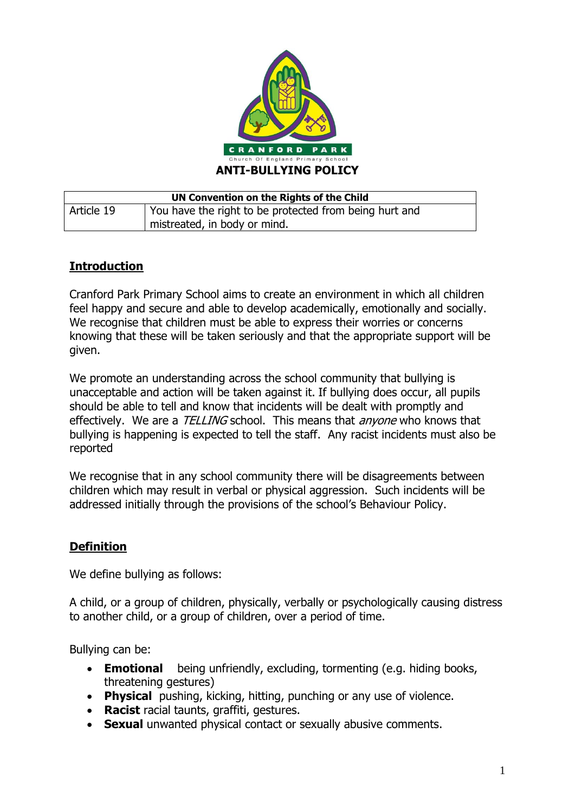

| UN Convention on the Rights of the Child |                                                        |  |
|------------------------------------------|--------------------------------------------------------|--|
| Article 19                               | You have the right to be protected from being hurt and |  |
|                                          | mistreated, in body or mind.                           |  |

# **Introduction**

Cranford Park Primary School aims to create an environment in which all children feel happy and secure and able to develop academically, emotionally and socially. We recognise that children must be able to express their worries or concerns knowing that these will be taken seriously and that the appropriate support will be given.

We promote an understanding across the school community that bullying is unacceptable and action will be taken against it. If bullying does occur, all pupils should be able to tell and know that incidents will be dealt with promptly and effectively. We are a TELLING school. This means that *anyone* who knows that bullying is happening is expected to tell the staff. Any racist incidents must also be reported

We recognise that in any school community there will be disagreements between children which may result in verbal or physical aggression. Such incidents will be addressed initially through the provisions of the school's Behaviour Policy.

### **Definition**

We define bullying as follows:

A child, or a group of children, physically, verbally or psychologically causing distress to another child, or a group of children, over a period of time.

Bullying can be:

- **Emotional** being unfriendly, excluding, tormenting (e.g. hiding books, threatening gestures)
- **Physical** pushing, kicking, hitting, punching or any use of violence.
- **Racist** racial taunts, graffiti, gestures.
- **Sexual** unwanted physical contact or sexually abusive comments.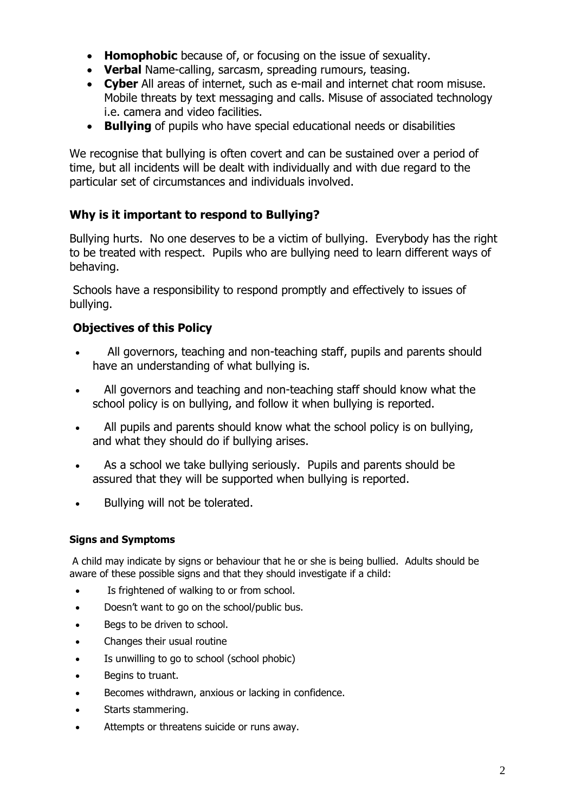- **Homophobic** because of, or focusing on the issue of sexuality.
- **Verbal** Name-calling, sarcasm, spreading rumours, teasing.
- **Cyber** All areas of internet, such as e-mail and internet chat room misuse. Mobile threats by text messaging and calls. Misuse of associated technology i.e. camera and video facilities.
- **Bullying** of pupils who have special educational needs or disabilities

We recognise that bullying is often covert and can be sustained over a period of time, but all incidents will be dealt with individually and with due regard to the particular set of circumstances and individuals involved.

## **Why is it important to respond to Bullying?**

Bullying hurts. No one deserves to be a victim of bullying. Everybody has the right to be treated with respect. Pupils who are bullying need to learn different ways of behaving.

Schools have a responsibility to respond promptly and effectively to issues of bullying.

## **Objectives of this Policy**

- All governors, teaching and non-teaching staff, pupils and parents should have an understanding of what bullying is.
- All governors and teaching and non-teaching staff should know what the school policy is on bullying, and follow it when bullying is reported.
- All pupils and parents should know what the school policy is on bullying, and what they should do if bullying arises.
- As a school we take bullying seriously. Pupils and parents should be assured that they will be supported when bullying is reported.
- Bullying will not be tolerated.

### **Signs and Symptoms**

A child may indicate by signs or behaviour that he or she is being bullied. Adults should be aware of these possible signs and that they should investigate if a child:

- Is frightened of walking to or from school.
- Doesn't want to go on the school/public bus.
- Begs to be driven to school.
- Changes their usual routine
- Is unwilling to go to school (school phobic)
- Begins to truant.
- Becomes withdrawn, anxious or lacking in confidence.
- Starts stammering.
- Attempts or threatens suicide or runs away.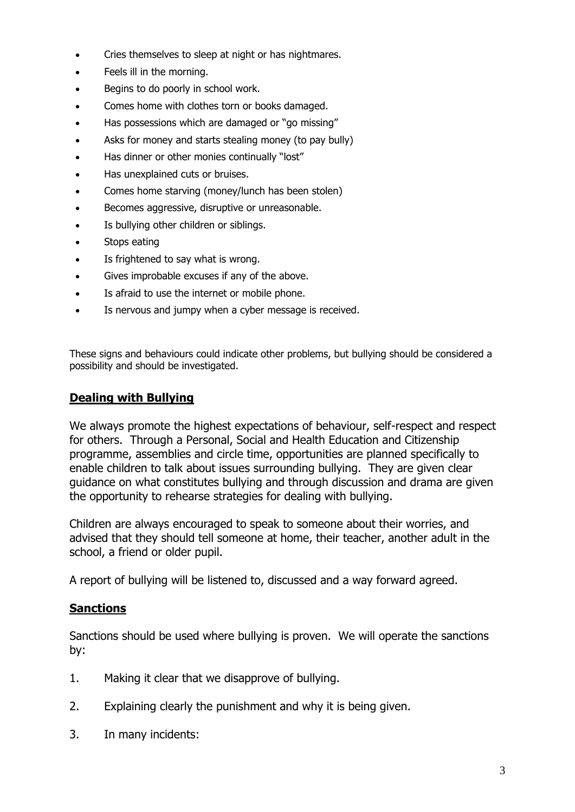- Cries themselves to sleep at night or has nightmares.
- Feels ill in the morning.
- Begins to do poorly in school work.
- Comes home with clothes torn or books damaged.
- Has possessions which are damaged or "go missing"
- Asks for money and starts stealing money (to pay bully)
- Has dinner or other monies continually "lost"
- Has unexplained cuts or bruises.
- Comes home starving (money/lunch has been stolen)
- Becomes aggressive, disruptive or unreasonable.
- Is bullying other children or siblings.
- Stops eating
- Is frightened to say what is wrong.
- Gives improbable excuses if any of the above.
- Is afraid to use the internet or mobile phone.
- Is nervous and jumpy when a cyber message is received.

These signs and behaviours could indicate other problems, but bullying should be considered a possibility and should be investigated.

#### **Dealing with Bullying**

We always promote the highest expectations of behaviour, self-respect and respect for others. Through a Personal, Social and Health Education and Citizenship programme, assemblies and circle time, opportunities are planned specifically to enable children to talk about issues surrounding bullying. They are given clear guidance on what constitutes bullying and through discussion and drama are given the opportunity to rehearse strategies for dealing with bullying.

Children are always encouraged to speak to someone about their worries, and advised that they should tell someone at home, their teacher, another adult in the school, a friend or older pupil.

A report of bullying will be listened to, discussed and a way forward agreed.

### **Sanctions**

Sanctions should be used where bullying is proven. We will operate the sanctions by:

- 1. Making it clear that we disapprove of bullying.
- 2. Explaining clearly the punishment and why it is being given.
- 3. In many incidents: